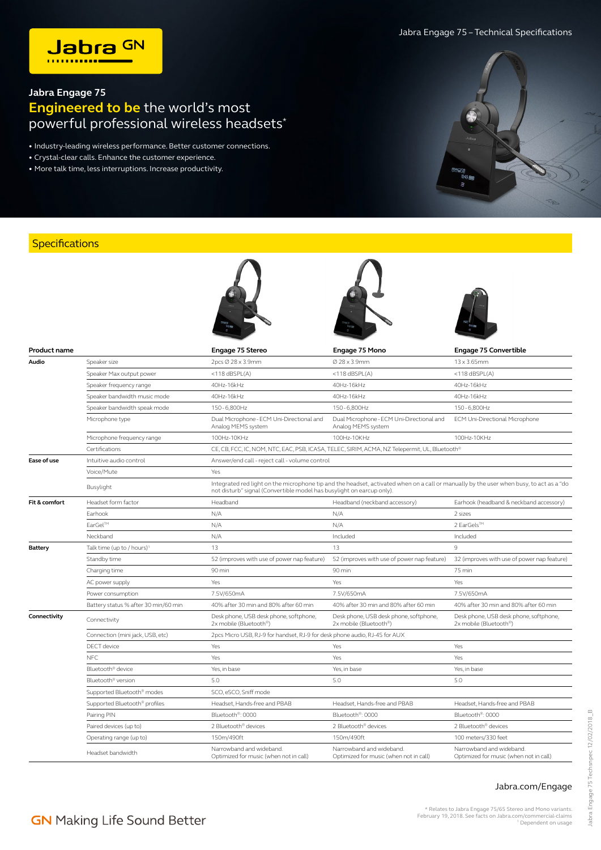

## **Jabra Engage 75 Engineered to be** the world's most powerful professional wireless headsets\*

• Industry-leading wireless performance. Better customer connections.

- Crystal-clear calls. Enhance the customer experience.
- More talk time, less interruptions. Increase productivity.



## **Specifications**

| <b>Product name</b> |                                        | <b>Engage 75 Stereo</b>                                                                                                                                                                                          | Engage 75 Mono                                                                                | <b>Engage 75 Convertible</b>                                       |  |  |
|---------------------|----------------------------------------|------------------------------------------------------------------------------------------------------------------------------------------------------------------------------------------------------------------|-----------------------------------------------------------------------------------------------|--------------------------------------------------------------------|--|--|
| Audio               | Speaker size                           | 2pcs Ø 28 x 3.9mm                                                                                                                                                                                                | Ø 28 x 3.9mm                                                                                  | 13 x 3.65mm                                                        |  |  |
|                     | Speaker Max output power               | $<$ 118 dBSPL(A)                                                                                                                                                                                                 | $<$ 118 dBSPL $(A)$                                                                           | $<$ 118 dBSPL(A)                                                   |  |  |
|                     | Speaker frequency range                | 40Hz-16kHz                                                                                                                                                                                                       | 40Hz-16kHz                                                                                    | 40Hz-16kHz                                                         |  |  |
|                     | Speaker bandwidth music mode           | 40Hz-16kHz                                                                                                                                                                                                       | 40Hz-16kHz                                                                                    | 40Hz-16kHz                                                         |  |  |
|                     | Speaker bandwidth speak mode           | 150-6,800Hz                                                                                                                                                                                                      | 150-6,800Hz                                                                                   | 150-6,800Hz                                                        |  |  |
|                     | Microphone type                        | Dual Microphone - ECM Uni-Directional and<br>Analog MEMS system                                                                                                                                                  | Dual Microphone - ECM Uni-Directional and<br>Analog MEMS system                               | ECM Uni-Directional Microphone                                     |  |  |
|                     | Microphone frequency range             | 100Hz-10KHz                                                                                                                                                                                                      | 100Hz-10KHz                                                                                   | 100Hz-10KHz                                                        |  |  |
|                     | Certifications                         |                                                                                                                                                                                                                  | CE, CB, FCC, IC, NOM, NTC, EAC, PSB, ICASA, TELEC, SIRIM, ACMA, NZ Telepermit, UL, Bluetooth® |                                                                    |  |  |
| Ease of use         | Intuitive audio control                | Answer/end call - reject call - volume control                                                                                                                                                                   |                                                                                               |                                                                    |  |  |
|                     | Voice/Mute                             | Yes                                                                                                                                                                                                              |                                                                                               |                                                                    |  |  |
|                     | Busylight                              | Integrated red light on the microphone tip and the headset, activated when on a call or manually by the user when busy, to act as a "do<br>not disturb" signal (Convertible model has busylight on earcup only). |                                                                                               |                                                                    |  |  |
| Fit & comfort       | Headset form factor                    | Headband                                                                                                                                                                                                         | Headband (neckband accessory)                                                                 | Earhook (headband & neckband accessory)                            |  |  |
|                     | Earhook                                | N/A                                                                                                                                                                                                              | N/A                                                                                           | 2 sizes                                                            |  |  |
|                     | EarGel™                                | N/A                                                                                                                                                                                                              | N/A                                                                                           | 2 EarGels™                                                         |  |  |
|                     | Neckband                               | N/A                                                                                                                                                                                                              | Included                                                                                      | Included                                                           |  |  |
| Battery             | Talk time (up to / hours) <sup>1</sup> | 13                                                                                                                                                                                                               | 13                                                                                            | 9                                                                  |  |  |
|                     | Standby time                           | 52 (improves with use of power nap feature)                                                                                                                                                                      | 52 (improves with use of power nap feature)                                                   | 32 (improves with use of power nap feature)                        |  |  |
|                     | Charging time                          | 90 min                                                                                                                                                                                                           | 90 min                                                                                        | 75 min                                                             |  |  |
|                     | AC power supply                        | Yes                                                                                                                                                                                                              | Yes                                                                                           | Yes                                                                |  |  |
|                     | Power consumption                      | 7.5V/650mA                                                                                                                                                                                                       | 7.5V/650mA                                                                                    | 7.5V/650mA                                                         |  |  |
|                     | Battery status % after 30 min/60 min   | 40% after 30 min and 80% after 60 min                                                                                                                                                                            | 40% after 30 min and 80% after 60 min                                                         | 40% after 30 min and 80% after 60 min                              |  |  |
| Connectivity        | Connectivity                           | Desk phone, USB desk phone, softphone,<br>2x mobile (Bluetooth®)                                                                                                                                                 | Desk phone, USB desk phone, softphone,<br>2x mobile (Bluetooth®)                              | Desk phone, USB desk phone, softphone,<br>2x mobile (Bluetooth®)   |  |  |
|                     | Connection (mini jack, USB, etc)       | 2pcs Micro USB, RJ-9 for handset, RJ-9 for desk phone audio, RJ-45 for AUX                                                                                                                                       |                                                                                               |                                                                    |  |  |
|                     | DECT device                            | Yes                                                                                                                                                                                                              | Yes                                                                                           | Yes                                                                |  |  |
|                     | NFC                                    | Yes                                                                                                                                                                                                              | Yes                                                                                           | Yes                                                                |  |  |
|                     | Bluetooth® device                      | Yes, in base                                                                                                                                                                                                     | Yes, in base                                                                                  | Yes, in base                                                       |  |  |
|                     | Bluetooth® version                     | 5.0                                                                                                                                                                                                              | 5.0                                                                                           | 5.0                                                                |  |  |
|                     | Supported Bluetooth <sup>®</sup> modes | SCO, eSCO, Sniff mode                                                                                                                                                                                            |                                                                                               |                                                                    |  |  |
|                     | Supported Bluetooth® profiles          | Headset, Hands-free and PBAB                                                                                                                                                                                     | Headset, Hands-free and PBAB                                                                  | Headset, Hands-free and PBAB                                       |  |  |
|                     | Pairing PIN                            | Bluetooth®: 0000                                                                                                                                                                                                 | Bluetooth®: 0000                                                                              | Bluetooth®: 0000                                                   |  |  |
|                     | Paired devices (up to)                 | 2 Bluetooth® devices                                                                                                                                                                                             | 2 Bluetooth® devices                                                                          | 2 Bluetooth® devices                                               |  |  |
|                     | Operating range (up to)                | 150m/490ft                                                                                                                                                                                                       | 150m/490ft                                                                                    | 100 meters/330 feet                                                |  |  |
|                     | Headset bandwidth                      | Narrowband and wideband.<br>Optimized for music (when not in call)                                                                                                                                               | Narrowband and wideband.<br>Optimized for music (when not in call)                            | Narrowband and wideband.<br>Optimized for music (when not in call) |  |  |

 $\overline{\phantom{a}}$ 

## Jabra.com/Engage